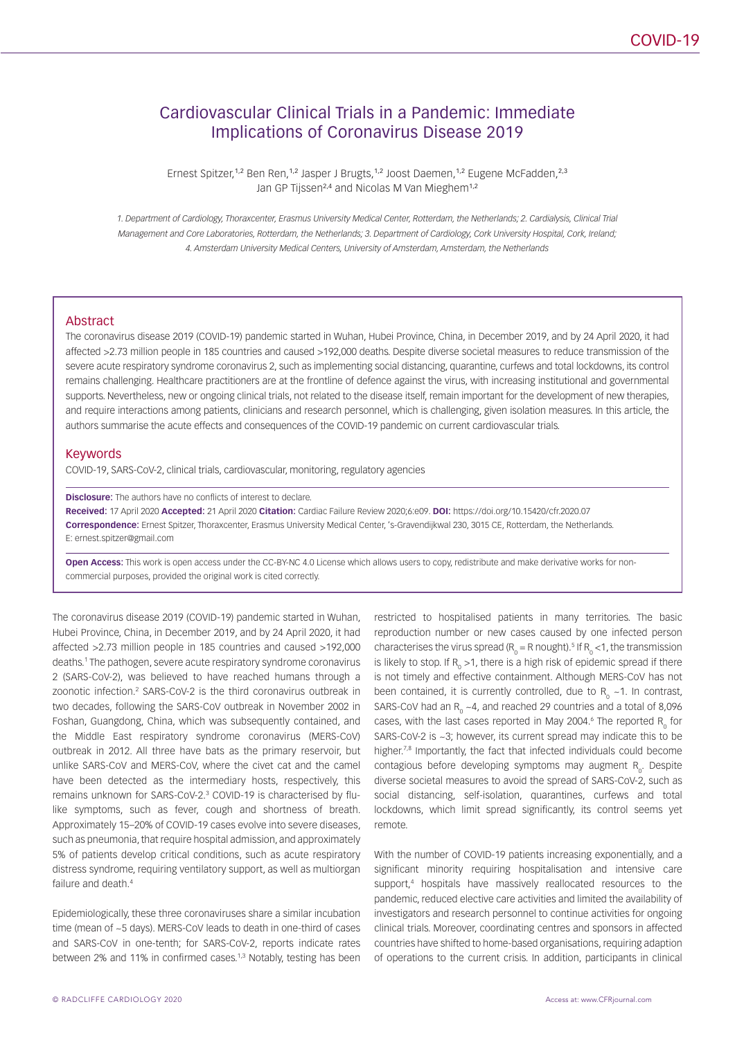# Cardiovascular Clinical Trials in a Pandemic: Immediate Implications of Coronavirus Disease 2019

Ernest Spitzer,<sup>1,2</sup> Ben Ren,<sup>1,2</sup> Jasper J Brugts,<sup>1,2</sup> Joost Daemen,<sup>1,2</sup> Eugene McFadden,<sup>2,3</sup> Jan GP Tijssen<sup>2,4</sup> and Nicolas M Van Mieghem<sup>1,2</sup>

*1. Department of Cardiology, Thoraxcenter, Erasmus University Medical Center, Rotterdam, the Netherlands; 2. Cardialysis, Clinical Trial Management and Core Laboratories, Rotterdam, the Netherlands; 3. Department of Cardiology, Cork University Hospital, Cork, Ireland; 4. Amsterdam University Medical Centers, University of Amsterdam, Amsterdam, the Netherlands*

#### Abstract

The coronavirus disease 2019 (COVID-19) pandemic started in Wuhan, Hubei Province, China, in December 2019, and by 24 April 2020, it had affected >2.73 million people in 185 countries and caused >192,000 deaths. Despite diverse societal measures to reduce transmission of the severe acute respiratory syndrome coronavirus 2, such as implementing social distancing, quarantine, curfews and total lockdowns, its control remains challenging. Healthcare practitioners are at the frontline of defence against the virus, with increasing institutional and governmental supports. Nevertheless, new or ongoing clinical trials, not related to the disease itself, remain important for the development of new therapies, and require interactions among patients, clinicians and research personnel, which is challenging, given isolation measures. In this article, the authors summarise the acute effects and consequences of the COVID-19 pandemic on current cardiovascular trials.

### Keywords

COVID-19, SARS-CoV-2, clinical trials, cardiovascular, monitoring, regulatory agencies

#### **Disclosure:** The authors have no conflicts of interest to declare.

**Received:** 17 April 2020 **Accepted:** 21 April 2020 **Citation:** Cardiac Failure Review 2020;6:e09. **DOI:** <https://doi.org/10.15420/cfr.2020.07> **Correspondence:** Ernest Spitzer, Thoraxcenter, Erasmus University Medical Center, 's-Gravendijkwal 230, 3015 CE, Rotterdam, the Netherlands. E: ernest.spitzer@gmail.com

**Open Access:** This work is open access under the [CC-BY-NC 4.0 License](https://creativecommons.org/licenses/by-nc/4.0/legalcode) which allows users to copy, redistribute and make derivative works for noncommercial purposes, provided the original work is cited correctly.

The coronavirus disease 2019 (COVID-19) pandemic started in Wuhan, Hubei Province, China, in December 2019, and by 24 April 2020, it had affected >2.73 million people in 185 countries and caused >192,000 deaths.1 The pathogen, severe acute respiratory syndrome coronavirus 2 (SARS-CoV-2), was believed to have reached humans through a zoonotic infection.<sup>2</sup> SARS-CoV-2 is the third coronavirus outbreak in two decades, following the SARS-CoV outbreak in November 2002 in Foshan, Guangdong, China, which was subsequently contained, and the Middle East respiratory syndrome coronavirus (MERS-CoV) outbreak in 2012. All three have bats as the primary reservoir, but unlike SARS-CoV and MERS-CoV, where the civet cat and the camel have been detected as the intermediary hosts, respectively, this remains unknown for SARS-CoV-2.<sup>3</sup> COVID-19 is characterised by flulike symptoms, such as fever, cough and shortness of breath. Approximately 15–20% of COVID-19 cases evolve into severe diseases, such as pneumonia, that require hospital admission, and approximately 5% of patients develop critical conditions, such as acute respiratory distress syndrome, requiring ventilatory support, as well as multiorgan failure and death<sup>4</sup>

Epidemiologically, these three coronaviruses share a similar incubation time (mean of ~5 days). MERS-CoV leads to death in one-third of cases and SARS-CoV in one-tenth; for SARS-CoV-2, reports indicate rates between 2% and 11% in confirmed cases.<sup>1,3</sup> Notably, testing has been restricted to hospitalised patients in many territories. The basic reproduction number or new cases caused by one infected person characterises the virus spread ( $R_o = R$  nought).<sup>5</sup> If  $R_o < 1$ , the transmission is likely to stop. If  $R_{o}$  >1, there is a high risk of epidemic spread if there is not timely and effective containment. Although MERS-CoV has not been contained, it is currently controlled, due to  $R_0$  ~1. In contrast, SARS-CoV had an  $R_{0}$  ~4, and reached 29 countries and a total of 8,096 cases, with the last cases reported in May 2004.<sup>6</sup> The reported  $R_0^{\text{}}$  for SARS-CoV-2 is ~3; however, its current spread may indicate this to be higher.<sup>7,8</sup> Importantly, the fact that infected individuals could become contagious before developing symptoms may augment R<sub>o</sub>. Despite diverse societal measures to avoid the spread of SARS-CoV-2, such as social distancing, self-isolation, quarantines, curfews and total lockdowns, which limit spread significantly, its control seems yet remote.

With the number of COVID-19 patients increasing exponentially, and a significant minority requiring hospitalisation and intensive care support,<sup>4</sup> hospitals have massively reallocated resources to the pandemic, reduced elective care activities and limited the availability of investigators and research personnel to continue activities for ongoing clinical trials. Moreover, coordinating centres and sponsors in affected countries have shifted to home-based organisations, requiring adaption of operations to the current crisis. In addition, participants in clinical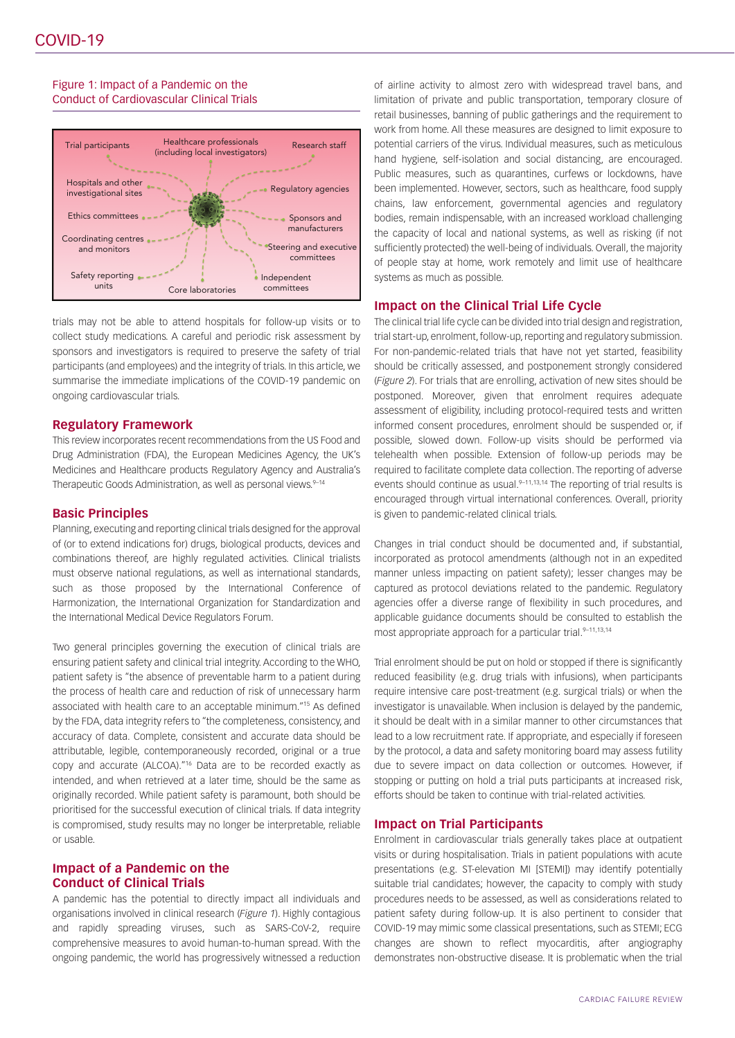# Figure 1: Impact of a Pandemic on the Conduct of Cardiovascular Clinical Trials



trials may not be able to attend hospitals for follow-up visits or to collect study medications. A careful and periodic risk assessment by sponsors and investigators is required to preserve the safety of trial participants (and employees) and the integrity of trials. In this article, we summarise the immediate implications of the COVID-19 pandemic on ongoing cardiovascular trials.

## **Regulatory Framework**

This review incorporates recent recommendations from the US Food and Drug Administration (FDA), the European Medicines Agency, the UK's Medicines and Healthcare products Regulatory Agency and Australia's Therapeutic Goods Administration, as well as personal views.<sup>9-14</sup>

## **Basic Principles**

Planning, executing and reporting clinical trials designed for the approval of (or to extend indications for) drugs, biological products, devices and combinations thereof, are highly regulated activities. Clinical trialists must observe national regulations, as well as international standards, such as those proposed by the International Conference of Harmonization, the International Organization for Standardization and the International Medical Device Regulators Forum.

Two general principles governing the execution of clinical trials are ensuring patient safety and clinical trial integrity. According to the WHO, patient safety is "the absence of preventable harm to a patient during the process of health care and reduction of risk of unnecessary harm associated with health care to an acceptable minimum."15 As defined by the FDA, data integrity refers to "the completeness, consistency, and accuracy of data. Complete, consistent and accurate data should be attributable, legible, contemporaneously recorded, original or a true copy and accurate (ALCOA)."16 Data are to be recorded exactly as intended, and when retrieved at a later time, should be the same as originally recorded. While patient safety is paramount, both should be prioritised for the successful execution of clinical trials. If data integrity is compromised, study results may no longer be interpretable, reliable or usable.

# **Impact of a Pandemic on the Conduct of Clinical Trials**

A pandemic has the potential to directly impact all individuals and organisations involved in clinical research (*Figure 1*). Highly contagious and rapidly spreading viruses, such as SARS-CoV-2, require comprehensive measures to avoid human-to-human spread. With the ongoing pandemic, the world has progressively witnessed a reduction

of airline activity to almost zero with widespread travel bans, and limitation of private and public transportation, temporary closure of retail businesses, banning of public gatherings and the requirement to work from home. All these measures are designed to limit exposure to potential carriers of the virus. Individual measures, such as meticulous hand hygiene, self-isolation and social distancing, are encouraged. Public measures, such as quarantines, curfews or lockdowns, have been implemented. However, sectors, such as healthcare, food supply chains, law enforcement, governmental agencies and regulatory bodies, remain indispensable, with an increased workload challenging the capacity of local and national systems, as well as risking (if not sufficiently protected) the well-being of individuals. Overall, the majority of people stay at home, work remotely and limit use of healthcare systems as much as possible.

# **Impact on the Clinical Trial Life Cycle**

The clinical trial life cycle can be divided into trial design and registration, trial start-up, enrolment, follow-up, reporting and regulatory submission. For non-pandemic-related trials that have not yet started, feasibility should be critically assessed, and postponement strongly considered (*Figure 2*). For trials that are enrolling, activation of new sites should be postponed. Moreover, given that enrolment requires adequate assessment of eligibility, including protocol-required tests and written informed consent procedures, enrolment should be suspended or, if possible, slowed down. Follow-up visits should be performed via telehealth when possible. Extension of follow-up periods may be required to facilitate complete data collection. The reporting of adverse events should continue as usual. $9-11,13,14$  The reporting of trial results is encouraged through virtual international conferences. Overall, priority is given to pandemic-related clinical trials.

Changes in trial conduct should be documented and, if substantial, incorporated as protocol amendments (although not in an expedited manner unless impacting on patient safety); lesser changes may be captured as protocol deviations related to the pandemic. Regulatory agencies offer a diverse range of flexibility in such procedures, and applicable guidance documents should be consulted to establish the most appropriate approach for a particular trial.9-11,13,14

Trial enrolment should be put on hold or stopped if there is significantly reduced feasibility (e.g. drug trials with infusions), when participants require intensive care post-treatment (e.g. surgical trials) or when the investigator is unavailable. When inclusion is delayed by the pandemic, it should be dealt with in a similar manner to other circumstances that lead to a low recruitment rate. If appropriate, and especially if foreseen by the protocol, a data and safety monitoring board may assess futility due to severe impact on data collection or outcomes. However, if stopping or putting on hold a trial puts participants at increased risk, efforts should be taken to continue with trial-related activities.

# **Impact on Trial Participants**

Enrolment in cardiovascular trials generally takes place at outpatient visits or during hospitalisation. Trials in patient populations with acute presentations (e.g. ST-elevation MI [STEMI]) may identify potentially suitable trial candidates; however, the capacity to comply with study procedures needs to be assessed, as well as considerations related to patient safety during follow-up. It is also pertinent to consider that COVID-19 may mimic some classical presentations, such as STEMI; ECG changes are shown to reflect myocarditis, after angiography demonstrates non-obstructive disease. It is problematic when the trial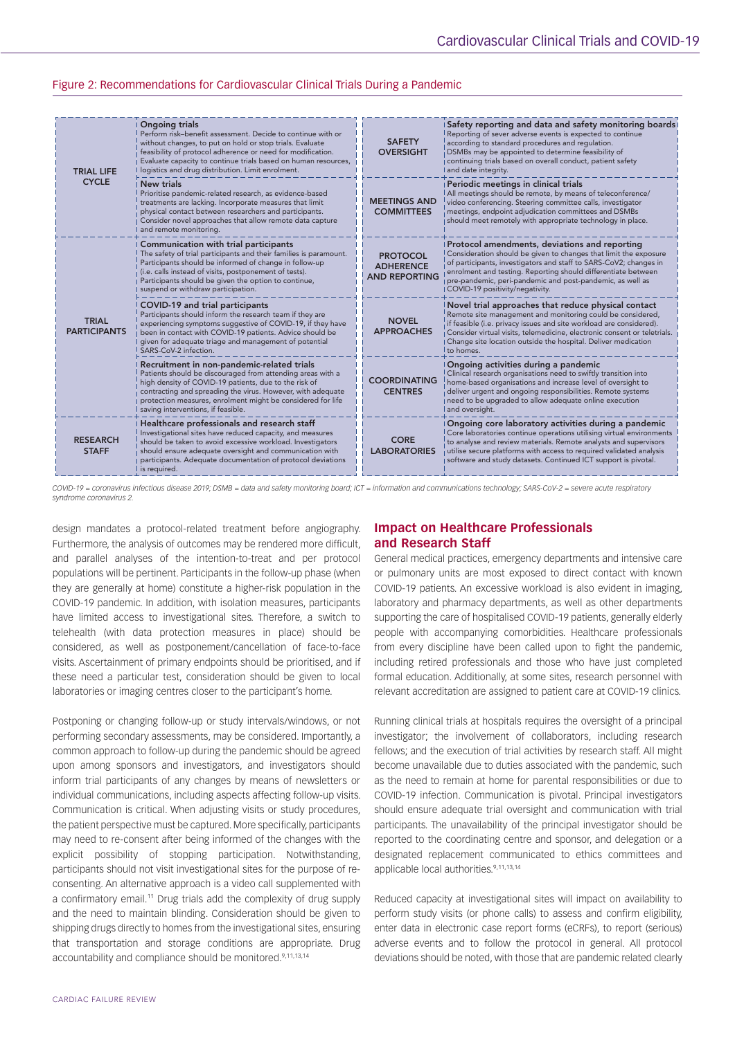#### Figure 2: Recommendations for Cardiovascular Clinical Trials During a Pandemic

| <b>TRIAL LIFE</b><br><b>CYCLE</b>   | <b>Ongoing trials</b><br>Perform risk-benefit assessment. Decide to continue with or<br>without changes, to put on hold or stop trials. Evaluate<br>feasibility of protocol adherence or need for modification.<br>Evaluate capacity to continue trials based on human resources,<br>logistics and drug distribution. Limit enrolment. | <b>SAFETY</b><br><b>OVERSIGHT</b>                           | Safety reporting and data and safety monitoring boards<br>Reporting of sever adverse events is expected to continue<br>according to standard procedures and regulation.<br>DSMBs may be appointed to determine feasibility of<br>continuing trials based on overall conduct, patient safety<br>and date integrity.                                      |
|-------------------------------------|----------------------------------------------------------------------------------------------------------------------------------------------------------------------------------------------------------------------------------------------------------------------------------------------------------------------------------------|-------------------------------------------------------------|---------------------------------------------------------------------------------------------------------------------------------------------------------------------------------------------------------------------------------------------------------------------------------------------------------------------------------------------------------|
|                                     | <b>New trials</b><br>Prioritise pandemic-related research, as evidence-based<br>treatments are lacking. Incorporate measures that limit<br>physical contact between researchers and participants.<br>Consider novel approaches that allow remote data capture<br>and remote monitoring.                                                | <b>MEETINGS AND</b><br><b>COMMITTEES</b>                    | Periodic meetings in clinical trials<br>All meetings should be remote, by means of teleconference/<br>video conferencing. Steering committee calls, investigator<br>meetings, endpoint adjudication committees and DSMBs<br>should meet remotely with appropriate technology in place.                                                                  |
| <b>TRIAL</b><br><b>PARTICIPANTS</b> | Communication with trial participants<br>The safety of trial participants and their families is paramount.<br>Participants should be informed of change in follow-up<br>(i.e. calls instead of visits, postponement of tests).<br>Participants should be given the option to continue,<br>suspend or withdraw participation.           | <b>PROTOCOL</b><br><b>ADHERENCE</b><br><b>AND REPORTING</b> | Protocol amendments, deviations and reporting<br>Consideration should be given to changes that limit the exposure<br>of participants, investigators and staff to SARS-CoV2; changes in<br>enrolment and testing. Reporting should differentiate between<br>pre-pandemic, peri-pandemic and post-pandemic, as well as<br>COVID-19 positivity/negativity. |
|                                     | COVID-19 and trial participants<br>Participants should inform the research team if they are<br>experiencing symptoms suggestive of COVID-19, if they have<br>been in contact with COVID-19 patients. Advice should be<br>given for adequate triage and management of potential<br>SARS-CoV-2 infection.                                | <b>NOVEL</b><br><b>APPROACHES</b>                           | Novel trial approaches that reduce physical contact<br>Remote site management and monitoring could be considered,<br>if feasible (i.e. privacy issues and site workload are considered).<br>Consider virtual visits, telemedicine, electronic consent or teletrials.<br>Change site location outside the hospital. Deliver medication<br>to homes.      |
|                                     | Recruitment in non-pandemic-related trials<br>Patients should be discouraged from attending areas with a<br>high density of COVID-19 patients, due to the risk of<br>contracting and spreading the virus. However, with adequate<br>protection measures, enrolment might be considered for life<br>saving interventions, if feasible.  | <b>COORDINATING</b><br><b>CENTRES</b>                       | Ongoing activities during a pandemic<br>Clinical research organisations need to swiftly transition into<br>home-based organisations and increase level of oversight to<br>deliver urgent and ongoing responsibilities. Remote systems<br>need to be upgraded to allow adequate online execution<br>and oversight.                                       |
| <b>RESEARCH</b><br><b>STAFF</b>     | Healthcare professionals and research staff<br>Investigational sites have reduced capacity, and measures<br>should be taken to avoid excessive workload. Investigators<br>should ensure adequate oversight and communication with<br>participants. Adequate documentation of protocol deviations<br>is required.                       | <b>CORE</b><br><b>LABORATORIES</b>                          | Ongoing core laboratory activities during a pandemic<br>Core laboratories continue operations utilising virtual environments<br>to analyse and review materials. Remote analysts and supervisors<br>utilise secure platforms with access to required validated analysis<br>software and study datasets. Continued ICT support is pivotal.               |

*COVID-19 = coronavirus infectious disease 2019; DSMB = data and safety monitoring board; ICT = information and communications technology; SARS-CoV-2 = severe acute respiratory syndrome coronavirus 2.*

design mandates a protocol-related treatment before angiography. Furthermore, the analysis of outcomes may be rendered more difficult, and parallel analyses of the intention-to-treat and per protocol populations will be pertinent. Participants in the follow-up phase (when they are generally at home) constitute a higher-risk population in the COVID-19 pandemic. In addition, with isolation measures, participants have limited access to investigational sites. Therefore, a switch to telehealth (with data protection measures in place) should be considered, as well as postponement/cancellation of face-to-face visits. Ascertainment of primary endpoints should be prioritised, and if these need a particular test, consideration should be given to local laboratories or imaging centres closer to the participant's home.

Postponing or changing follow-up or study intervals/windows, or not performing secondary assessments, may be considered. Importantly, a common approach to follow-up during the pandemic should be agreed upon among sponsors and investigators, and investigators should inform trial participants of any changes by means of newsletters or individual communications, including aspects affecting follow-up visits. Communication is critical. When adjusting visits or study procedures, the patient perspective must be captured. More specifically, participants may need to re-consent after being informed of the changes with the explicit possibility of stopping participation. Notwithstanding, participants should not visit investigational sites for the purpose of reconsenting. An alternative approach is a video call supplemented with a confirmatory email.<sup>11</sup> Drug trials add the complexity of drug supply and the need to maintain blinding. Consideration should be given to shipping drugs directly to homes from the investigational sites, ensuring that transportation and storage conditions are appropriate. Drug accountability and compliance should be monitored.<sup>9,11,13,14</sup>

# **Impact on Healthcare Professionals and Research Staff**

General medical practices, emergency departments and intensive care or pulmonary units are most exposed to direct contact with known COVID-19 patients. An excessive workload is also evident in imaging, laboratory and pharmacy departments, as well as other departments supporting the care of hospitalised COVID-19 patients, generally elderly people with accompanying comorbidities. Healthcare professionals from every discipline have been called upon to fight the pandemic, including retired professionals and those who have just completed formal education. Additionally, at some sites, research personnel with relevant accreditation are assigned to patient care at COVID-19 clinics.

Running clinical trials at hospitals requires the oversight of a principal investigator; the involvement of collaborators, including research fellows; and the execution of trial activities by research staff. All might become unavailable due to duties associated with the pandemic, such as the need to remain at home for parental responsibilities or due to COVID-19 infection. Communication is pivotal. Principal investigators should ensure adequate trial oversight and communication with trial participants. The unavailability of the principal investigator should be reported to the coordinating centre and sponsor, and delegation or a designated replacement communicated to ethics committees and applicable local authorities.<sup>9,11,13,14</sup>

Reduced capacity at investigational sites will impact on availability to perform study visits (or phone calls) to assess and confirm eligibility, enter data in electronic case report forms (eCRFs), to report (serious) adverse events and to follow the protocol in general. All protocol deviations should be noted, with those that are pandemic related clearly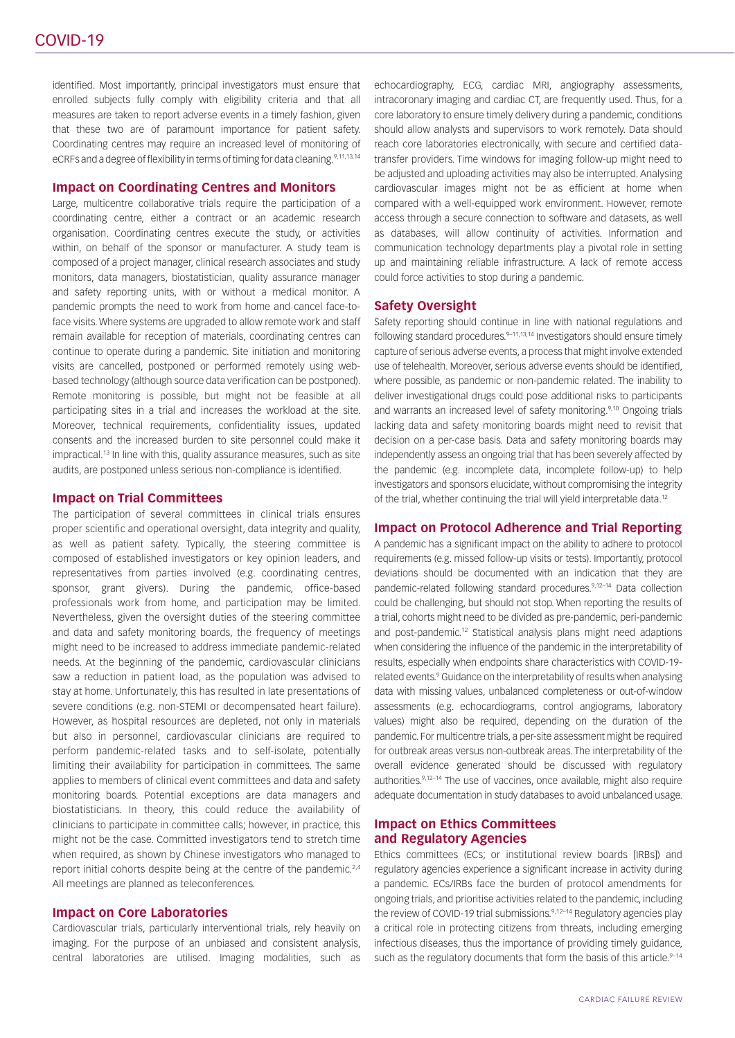identified. Most importantly, principal investigators must ensure that enrolled subjects fully comply with eligibility criteria and that all measures are taken to report adverse events in a timely fashion, given that these two are of paramount importance for patient safety. Coordinating centres may require an increased level of monitoring of eCRFs and a degree of flexibility in terms of timing for data cleaning.<sup>9,11,13,14</sup>

## **Impact on Coordinating Centres and Monitors**

Large, multicentre collaborative trials require the participation of a coordinating centre, either a contract or an academic research organisation. Coordinating centres execute the study, or activities within, on behalf of the sponsor or manufacturer. A study team is composed of a project manager, clinical research associates and study monitors, data managers, biostatistician, quality assurance manager and safety reporting units, with or without a medical monitor. A pandemic prompts the need to work from home and cancel face-toface visits. Where systems are upgraded to allow remote work and staff remain available for reception of materials, coordinating centres can continue to operate during a pandemic. Site initiation and monitoring visits are cancelled, postponed or performed remotely using webbased technology (although source data verification can be postponed). Remote monitoring is possible, but might not be feasible at all participating sites in a trial and increases the workload at the site. Moreover, technical requirements, confidentiality issues, updated consents and the increased burden to site personnel could make it impractical.<sup>13</sup> In line with this, quality assurance measures, such as site audits, are postponed unless serious non-compliance is identified.

#### **Impact on Trial Committees**

The participation of several committees in clinical trials ensures proper scientific and operational oversight, data integrity and quality, as well as patient safety. Typically, the steering committee is composed of established investigators or key opinion leaders, and representatives from parties involved (e.g. coordinating centres, sponsor, grant givers). During the pandemic, office-based professionals work from home, and participation may be limited. Nevertheless, given the oversight duties of the steering committee and data and safety monitoring boards, the frequency of meetings might need to be increased to address immediate pandemic-related needs. At the beginning of the pandemic, cardiovascular clinicians saw a reduction in patient load, as the population was advised to stay at home. Unfortunately, this has resulted in late presentations of severe conditions (e.g. non-STEMI or decompensated heart failure). However, as hospital resources are depleted, not only in materials but also in personnel, cardiovascular clinicians are required to perform pandemic-related tasks and to self-isolate, potentially limiting their availability for participation in committees. The same applies to members of clinical event committees and data and safety monitoring boards. Potential exceptions are data managers and biostatisticians. In theory, this could reduce the availability of clinicians to participate in committee calls; however, in practice, this might not be the case. Committed investigators tend to stretch time when required, as shown by Chinese investigators who managed to report initial cohorts despite being at the centre of the pandemic.<sup>2,4</sup> All meetings are planned as teleconferences.

#### **Impact on Core Laboratories**

Cardiovascular trials, particularly interventional trials, rely heavily on imaging. For the purpose of an unbiased and consistent analysis, central laboratories are utilised. Imaging modalities, such as echocardiography, ECG, cardiac MRI, angiography assessments, intracoronary imaging and cardiac CT, are frequently used. Thus, for a core laboratory to ensure timely delivery during a pandemic, conditions should allow analysts and supervisors to work remotely. Data should reach core laboratories electronically, with secure and certified datatransfer providers. Time windows for imaging follow-up might need to be adjusted and uploading activities may also be interrupted. Analysing cardiovascular images might not be as efficient at home when compared with a well-equipped work environment. However, remote access through a secure connection to software and datasets, as well as databases, will allow continuity of activities. Information and communication technology departments play a pivotal role in setting up and maintaining reliable infrastructure. A lack of remote access could force activities to stop during a pandemic.

#### **Safety Oversight**

Safety reporting should continue in line with national regulations and following standard procedures.<sup>9-11,13,14</sup> Investigators should ensure timely capture of serious adverse events, a process that might involve extended use of telehealth. Moreover, serious adverse events should be identified, where possible, as pandemic or non-pandemic related. The inability to deliver investigational drugs could pose additional risks to participants and warrants an increased level of safety monitoring.<sup>9,10</sup> Ongoing trials lacking data and safety monitoring boards might need to revisit that decision on a per-case basis. Data and safety monitoring boards may independently assess an ongoing trial that has been severely affected by the pandemic (e.g. incomplete data, incomplete follow-up) to help investigators and sponsors elucidate, without compromising the integrity of the trial, whether continuing the trial will yield interpretable data.12

#### **Impact on Protocol Adherence and Trial Reporting**

A pandemic has a significant impact on the ability to adhere to protocol requirements (e.g. missed follow-up visits or tests). Importantly, protocol deviations should be documented with an indication that they are pandemic-related following standard procedures.9,12–14 Data collection could be challenging, but should not stop. When reporting the results of a trial, cohorts might need to be divided as pre-pandemic, peri-pandemic and post-pandemic.<sup>12</sup> Statistical analysis plans might need adaptions when considering the influence of the pandemic in the interpretability of results, especially when endpoints share characteristics with COVID-19 related events.<sup>9</sup> Guidance on the interpretability of results when analysing data with missing values, unbalanced completeness or out-of-window assessments (e.g. echocardiograms, control angiograms, laboratory values) might also be required, depending on the duration of the pandemic. For multicentre trials, a per-site assessment might be required for outbreak areas versus non-outbreak areas. The interpretability of the overall evidence generated should be discussed with regulatory authorities.<sup>9,12–14</sup> The use of vaccines, once available, might also require adequate documentation in study databases to avoid unbalanced usage.

## **Impact on Ethics Committees and Regulatory Agencies**

Ethics committees (ECs; or institutional review boards [IRBs]) and regulatory agencies experience a significant increase in activity during a pandemic. ECs/IRBs face the burden of protocol amendments for ongoing trials, and prioritise activities related to the pandemic, including the review of COVID-19 trial submissions.<sup>9,12-14</sup> Regulatory agencies play a critical role in protecting citizens from threats, including emerging infectious diseases, thus the importance of providing timely guidance, such as the regulatory documents that form the basis of this article.9-14